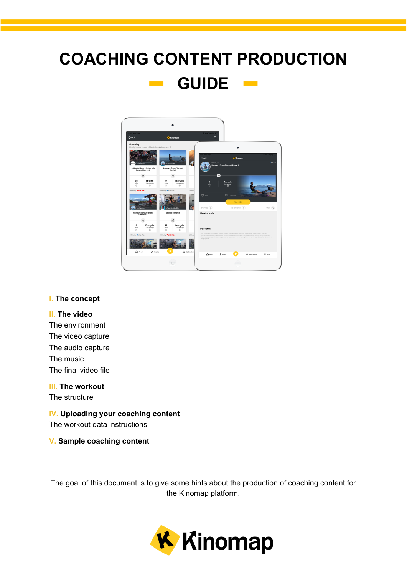## **COACHING CONTENT PRODUCTION GUIDE**  $\mathcal{O}(\mathcal{O}_\mathcal{C})$



#### **[I.](#page-1-0) The [concept](#page-1-0)**

#### **[II.](#page-2-0) The [video](#page-2-0)**

The [environment](#page-2-1) The video [capture](#page-2-2) The audio [capture](#page-3-0) The [music](#page-3-1) The final [video](#page-3-2) file

#### **[III.](#page-4-0) The [workout](#page-4-0)**

The [structure](#page-4-1)

#### **IV. Uploading your coaching content**

The workout data [instructions](#page-5-0)

#### **[V.](#page-6-0) Sample [coaching](#page-6-0) content**

The goal of this document is to give some hints about the production of coaching content for the Kinomap platform.

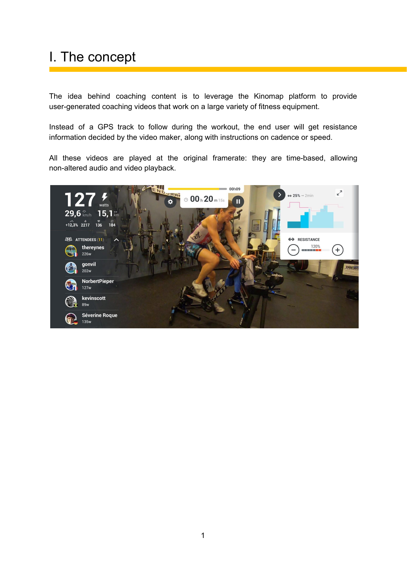# <span id="page-1-0"></span>I. The concept

The idea behind coaching content is to leverage the Kinomap platform to provide user-generated coaching videos that work on a large variety of fitness equipment.

Instead of a GPS track to follow during the workout, the end user will get resistance information decided by the video maker, along with instructions on cadence or speed.

All these videos are played at the original framerate: they are time-based, allowing non-altered audio and video playback.

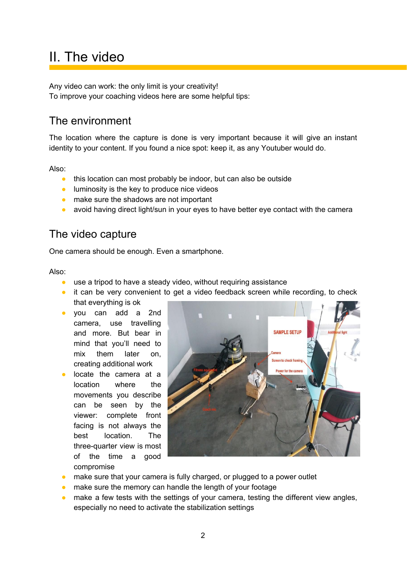## <span id="page-2-0"></span>II. The video

Any video can work: the only limit is your creativity! To improve your coaching videos here are some helpful tips:

### <span id="page-2-1"></span>The environment

The location where the capture is done is very important because it will give an instant identity to your content. If you found a nice spot: keep it, as any Youtuber would do.

Also:

- this location can most probably be indoor, but can also be outside
- luminosity is the key to produce nice videos
- make sure the shadows are not important
- avoid having direct light/sun in your eyes to have better eye contact with the camera

#### <span id="page-2-2"></span>The video capture

One camera should be enough. Even a smartphone.

Also:

- use a tripod to have a steady video, without requiring assistance
- it can be very convenient to get a video feedback screen while recording, to check that everything is ok
- you can add a 2nd camera, use travelling and more. But bear in mind that you'll need to mix them later on, creating additional work
- locate the camera at a location where the movements you describe can be seen by the viewer: complete front facing is not always the best location. The three-quarter view is most of the time a good compromise



- make sure that your camera is fully charged, or plugged to a power outlet
- make sure the memory can handle the length of your footage
- make a few tests with the settings of your camera, testing the different view angles, especially no need to activate the stabilization settings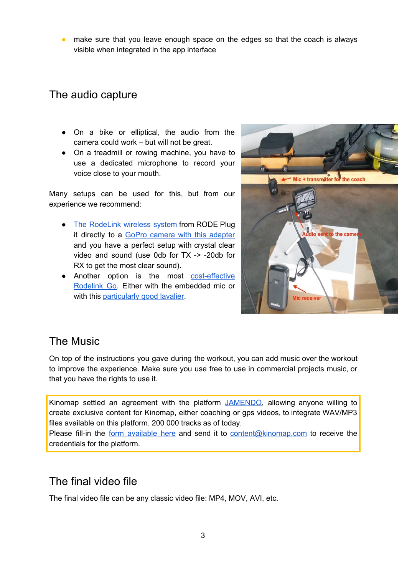• make sure that you leave enough space on the edges so that the coach is always visible when integrated in the app interface

### <span id="page-3-0"></span>The audio capture

- On a bike or elliptical, the audio from the camera could work – but will not be great.
- On a treadmill or rowing machine, you have to use a dedicated microphone to record your voice close to your mouth.

Many setups can be used for this, but from our experience we recommend:

- The [RodeLink](https://www.amazon.com/dp/B00TV90DX0/ref=cm_sw_em_r_mt_dp_U_sEI.CbS1H055R) wireless system from RODE Plug it directly to a GoPro camera with this [adapter](https://fr.shop.gopro.com/EMEA/accessories-2/pro-3.5mm-mic-adapter/AAMIC-001.html) and you have a perfect setup with crystal clear video and sound (use 0db for TX -> -20db for RX to get the most clear sound).
- Another option is the most [cost-effective](https://www.bhphotovideo.com/c/product/1471382-REG/rode_wireless_go_compact_wireless.html) [Rodelink](https://www.bhphotovideo.com/c/product/1471382-REG/rode_wireless_go_compact_wireless.html) Go. Either with the embedded mic or with this **[particularly](https://www.bhphotovideo.com/c/product/971303-REG/microphone_madness_mm_lapel_2_lapel_style_uni_directional.html) good lavalier**.



### <span id="page-3-1"></span>The Music

On top of the instructions you gave during the workout, you can add music over the workout to improve the experience. Make sure you use free to use in commercial projects music, or that you have the rights to use it.

Kinomap settled an agreement with the platform [JAMENDO,](https://licensing.jamendo.com/en/catalog) allowing anyone willing to create exclusive content for Kinomap, either coaching or gps videos, to integrate WAV/MP3 files available on this platform. 200 000 tracks as of today.

Please fill-in the form [available](https://docs.google.com/document/d/16r9DnzG9Lwv-Igy_3YmVTM5hRkOtsnHieyhRnuUCJYs/edit?usp=sharing) here and send it to [content@kinomap.com](mailto:content@kinomap.com) to receive the credentials for the platform.

#### <span id="page-3-2"></span>The final video file

The final video file can be any classic video file: MP4, MOV, AVI, etc.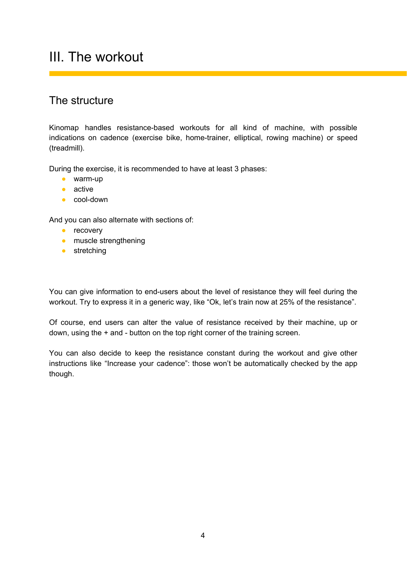## <span id="page-4-0"></span>III. The workout

### <span id="page-4-1"></span>The structure

Kinomap handles resistance-based workouts for all kind of machine, with possible indications on cadence (exercise bike, home-trainer, elliptical, rowing machine) or speed (treadmill).

During the exercise, it is recommended to have at least 3 phases:

- warm-up
- active
- cool-down

And you can also alternate with sections of:

- **•** recovery
- muscle strengthening
- stretching

You can give information to end-users about the level of resistance they will feel during the workout. Try to express it in a generic way, like "Ok, let's train now at 25% of the resistance".

Of course, end users can alter the value of resistance received by their machine, up or down, using the + and - button on the top right corner of the training screen.

You can also decide to keep the resistance constant during the workout and give other instructions like "Increase your cadence": those won't be automatically checked by the app though.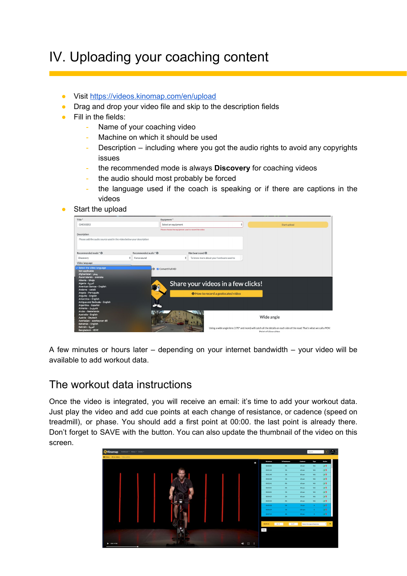# IV. Uploading your coaching content

- Visit <https://videos.kinomap.com/en/upload>
- Drag and drop your video file and skip to the description fields
- Fill in the fields:
	- Name of your coaching video
	- Machine on which it should be used
	- Description including where you got the audio rights to avoid any copyrights issues
	- the recommended mode is always **Discovery** for coaching videos
	- the audio should most probably be forced
	- the language used if the coach is speaking or if there are captions in the videos
- Start the upload

| Title*                                                                                                                                                                       |   |                       | Equipment*                                           |                                           |                                                                                                                                                |
|------------------------------------------------------------------------------------------------------------------------------------------------------------------------------|---|-----------------------|------------------------------------------------------|-------------------------------------------|------------------------------------------------------------------------------------------------------------------------------------------------|
| GH010252                                                                                                                                                                     |   |                       | Select an equipment                                  |                                           | Start upload                                                                                                                                   |
|                                                                                                                                                                              |   |                       | Please choose the equipment used to record the video |                                           |                                                                                                                                                |
| Description                                                                                                                                                                  |   |                       |                                                      |                                           |                                                                                                                                                |
| Please add the audio source used in the video below your description                                                                                                         |   |                       |                                                      |                                           |                                                                                                                                                |
|                                                                                                                                                                              |   |                       |                                                      |                                           |                                                                                                                                                |
| Recommended mode * ®                                                                                                                                                         |   | Recommended audio * ® |                                                      | Hardware used ®                           |                                                                                                                                                |
| Discovery                                                                                                                                                                    | ٠ | Force sound           | ٠                                                    | To know more about your hardware used to  |                                                                                                                                                |
| Video language                                                                                                                                                               |   |                       |                                                      |                                           |                                                                                                                                                |
| Not applicable<br>يښتو - Afghanistan<br>Åland Islands - svenska<br>Albania - Shqip<br>العرسة - Algeria<br>American Samoa - English<br>Andorra - català<br>Angola - Português |   |                       | <b>O</b> Convert Full HD                             | Share your videos in a few clicks!        |                                                                                                                                                |
| Anguilla - English<br>Antarctica - English<br>Antiqua and Barbuda - English<br>Argentina - Español<br>Armenia - Հայերեն                                                      |   |                       |                                                      | <b>O</b> How to record a geolocated video |                                                                                                                                                |
| Aruba - Nederlands<br>Australia - English<br>Austria - Deutsch<br>Azerbaijan - azərbaycan dili<br>Bahamas - English                                                          |   |                       |                                                      |                                           | Wide angle                                                                                                                                     |
| العربية - Bahrain<br>Bangladesh - বাংলা                                                                                                                                      |   |                       |                                                      |                                           | Using a wide angle lens (170° and more) will catch all the details on each side of the road. That's what we call a POV:<br>Point of View video |

<span id="page-5-0"></span>A few minutes or hours later – depending on your internet bandwidth – your video will be available to add workout data.

#### The workout data instructions

Once the video is integrated, you will receive an email: it's time to add your workout data. Just play the video and add cue points at each change of resistance, or cadence (speed on treadmill), or phase. You should add a first point at 00:00. the last point is already there. Don't forget to SAVE with the button. You can also update the thumbnail of the video on this screen.